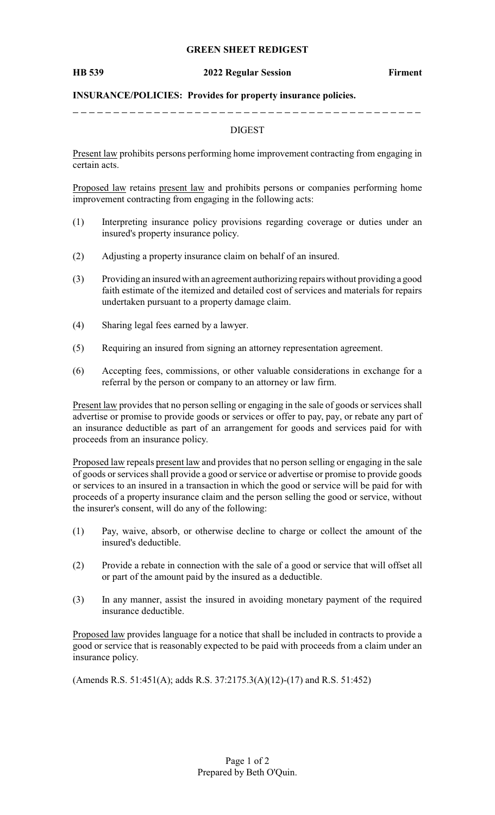### **GREEN SHEET REDIGEST**

### **HB 539 2022 Regular Session Firment**

### **INSURANCE/POLICIES: Provides for property insurance policies.**

## DIGEST

Present law prohibits persons performing home improvement contracting from engaging in certain acts.

Proposed law retains present law and prohibits persons or companies performing home improvement contracting from engaging in the following acts:

- (1) Interpreting insurance policy provisions regarding coverage or duties under an insured's property insurance policy.
- (2) Adjusting a property insurance claim on behalf of an insured.
- (3) Providing an insured with an agreement authorizing repairs without providing a good faith estimate of the itemized and detailed cost of services and materials for repairs undertaken pursuant to a property damage claim.
- (4) Sharing legal fees earned by a lawyer.
- (5) Requiring an insured from signing an attorney representation agreement.
- (6) Accepting fees, commissions, or other valuable considerations in exchange for a referral by the person or company to an attorney or law firm.

Present law provides that no person selling or engaging in the sale of goods or services shall advertise or promise to provide goods or services or offer to pay, pay, or rebate any part of an insurance deductible as part of an arrangement for goods and services paid for with proceeds from an insurance policy.

Proposed law repeals present law and provides that no person selling or engaging in the sale of goods or services shall provide a good or service or advertise or promise to provide goods or services to an insured in a transaction in which the good or service will be paid for with proceeds of a property insurance claim and the person selling the good or service, without the insurer's consent, will do any of the following:

- (1) Pay, waive, absorb, or otherwise decline to charge or collect the amount of the insured's deductible.
- (2) Provide a rebate in connection with the sale of a good or service that will offset all or part of the amount paid by the insured as a deductible.
- (3) In any manner, assist the insured in avoiding monetary payment of the required insurance deductible.

Proposed law provides language for a notice that shall be included in contracts to provide a good or service that is reasonably expected to be paid with proceeds from a claim under an insurance policy.

(Amends R.S. 51:451(A); adds R.S. 37:2175.3(A)(12)-(17) and R.S. 51:452)